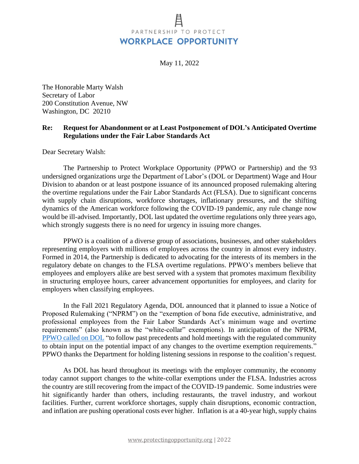May 11, 2022

The Honorable Marty Walsh Secretary of Labor 200 Constitution Avenue, NW Washington, DC 20210

#### **Re: Request for Abandonment or at Least Postponement of DOL's Anticipated Overtime Regulations under the Fair Labor Standards Act**

Dear Secretary Walsh:

The Partnership to Protect Workplace Opportunity (PPWO or Partnership) and the 93 undersigned organizations urge the Department of Labor's (DOL or Department) Wage and Hour Division to abandon or at least postpone issuance of its announced proposed rulemaking altering the overtime regulations under the Fair Labor Standards Act (FLSA). Due to significant concerns with supply chain disruptions, workforce shortages, inflationary pressures, and the shifting dynamics of the American workforce following the COVID-19 pandemic, any rule change now would be ill-advised. Importantly, DOL last updated the overtime regulations only three years ago, which strongly suggests there is no need for urgency in issuing more changes.

PPWO is a coalition of a diverse group of associations, businesses, and other stakeholders representing employers with millions of employees across the country in almost every industry. Formed in 2014, the Partnership is dedicated to advocating for the interests of its members in the regulatory debate on changes to the FLSA overtime regulations. PPWO's members believe that employees and employers alike are best served with a system that promotes maximum flexibility in structuring employee hours, career advancement opportunities for employees, and clarity for employers when classifying employees.

In the Fall 2021 Regulatory Agenda, DOL announced that it planned to issue a Notice of Proposed Rulemaking ("NPRM") on the "exemption of bona fide executive, administrative, and professional employees from the Fair Labor Standards Act's minimum wage and overtime requirements" (also known as the "white-collar" exemptions). In anticipation of the NPRM, [PPWO called on DOL](http://protectingopportunity.org/wp-content/uploads/2022/01/Business-Community-Letter-to-DOL-on-OT-Stakeholder-Meetings_Jan-2022.pdf) "to follow past precedents and hold meetings with the regulated community to obtain input on the potential impact of any changes to the overtime exemption requirements." PPWO thanks the Department for holding listening sessions in response to the coalition's request.

As DOL has heard throughout its meetings with the employer community, the economy today cannot support changes to the white-collar exemptions under the FLSA. Industries across the country are still recovering from the impact of the COVID-19 pandemic. Some industries were hit significantly harder than others, including restaurants, the travel industry, and workout facilities. Further, current workforce shortages, supply chain disruptions, economic contraction, and inflation are pushing operational costs ever higher. Inflation is at a 40-year high, supply chains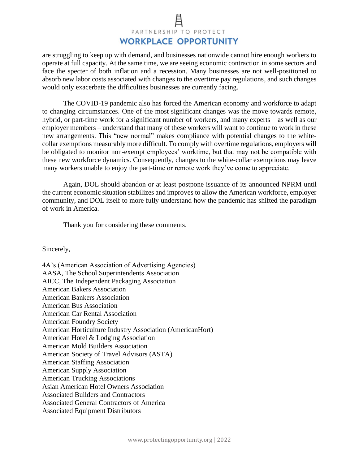are struggling to keep up with demand, and businesses nationwide cannot hire enough workers to operate at full capacity. At the same time, we are seeing economic contraction in some sectors and face the specter of both inflation and a recession. Many businesses are not well-positioned to absorb new labor costs associated with changes to the overtime pay regulations, and such changes would only exacerbate the difficulties businesses are currently facing.

The COVID-19 pandemic also has forced the American economy and workforce to adapt to changing circumstances. One of the most significant changes was the move towards remote, hybrid, or part-time work for a significant number of workers, and many experts – as well as our employer members – understand that many of these workers will want to continue to work in these new arrangements. This "new normal" makes compliance with potential changes to the whitecollar exemptions measurably more difficult. To comply with overtime regulations, employers will be obligated to monitor non-exempt employees' worktime, but that may not be compatible with these new workforce dynamics. Consequently, changes to the white-collar exemptions may leave many workers unable to enjoy the part-time or remote work they've come to appreciate.

Again, DOL should abandon or at least postpone issuance of its announced NPRM until the current economic situation stabilizes and improves to allow the American workforce, employer community, and DOL itself to more fully understand how the pandemic has shifted the paradigm of work in America.

Thank you for considering these comments.

Sincerely,

4A's (American Association of Advertising Agencies) AASA, The School Superintendents Association AICC, The Independent Packaging Association American Bakers Association American Bankers Association American Bus Association American Car Rental Association American Foundry Society American Horticulture Industry Association (AmericanHort) American Hotel & Lodging Association American Mold Builders Association American Society of Travel Advisors (ASTA) American Staffing Association American Supply Association American Trucking Associations Asian American Hotel Owners Association Associated Builders and Contractors Associated General Contractors of America Associated Equipment Distributors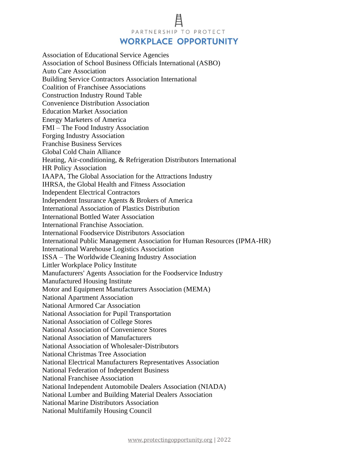Association of Educational Service Agencies Association of School Business Officials International (ASBO) Auto Care Association Building Service Contractors Association International Coalition of Franchisee Associations Construction Industry Round Table Convenience Distribution Association Education Market Association Energy Marketers of America FMI – The Food Industry Association Forging Industry Association Franchise Business Services Global Cold Chain Alliance Heating, Air-conditioning, & Refrigeration Distributors International HR Policy Association IAAPA, The Global Association for the Attractions Industry IHRSA, the Global Health and Fitness Association Independent Electrical Contractors Independent Insurance Agents & Brokers of America International Association of Plastics Distribution International Bottled Water Association International Franchise Association. International Foodservice Distributors Association International Public Management Association for Human Resources (IPMA-HR) International Warehouse Logistics Association ISSA – The Worldwide Cleaning Industry Association Littler Workplace Policy Institute Manufacturers' Agents Association for the Foodservice Industry Manufactured Housing Institute Motor and Equipment Manufacturers Association (MEMA) National Apartment Association National Armored Car Association National Association for Pupil Transportation National Association of College Stores National Association of Convenience Stores National Association of Manufacturers National Association of Wholesaler-Distributors National Christmas Tree Association National Electrical Manufacturers Representatives Association National Federation of Independent Business National Franchisee Association National Independent Automobile Dealers Association (NIADA) National Lumber and Building Material Dealers Association National Marine Distributors Association National Multifamily Housing Council